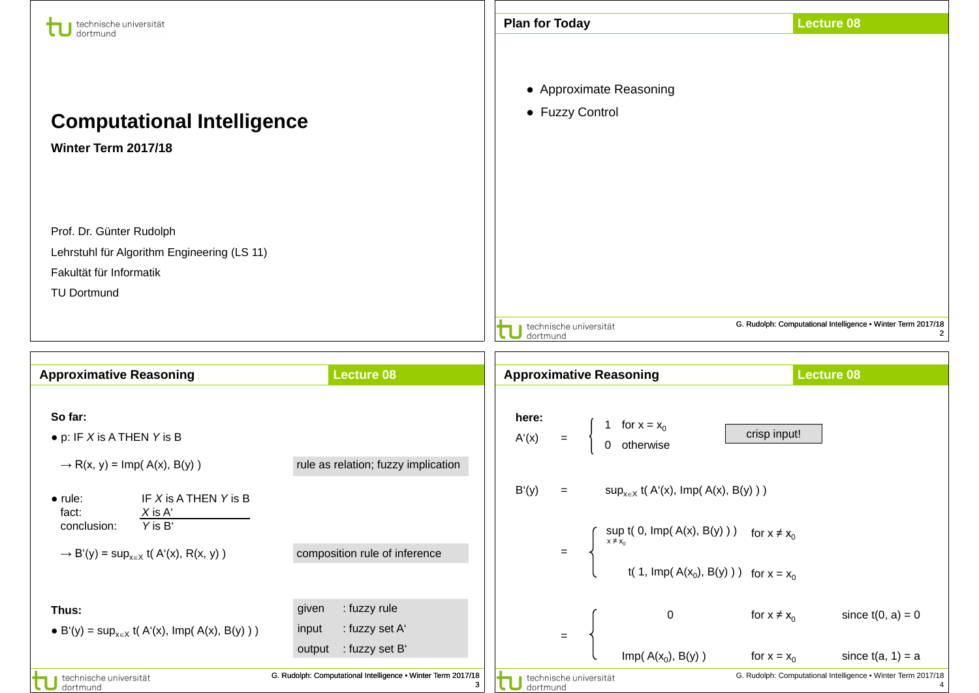| technische universität<br>dortmund                                                                                                                                      |                                                                                                                                              | <b>Plan for Today</b>                                               |                                                                                                                                                                                    | <b>Lecture 08</b>                                                                                          |
|-------------------------------------------------------------------------------------------------------------------------------------------------------------------------|----------------------------------------------------------------------------------------------------------------------------------------------|---------------------------------------------------------------------|------------------------------------------------------------------------------------------------------------------------------------------------------------------------------------|------------------------------------------------------------------------------------------------------------|
| <b>Computational Intelligence</b><br>Winter Term 2017/18                                                                                                                |                                                                                                                                              | • Approximate Reasoning<br>• Fuzzy Control                          |                                                                                                                                                                                    |                                                                                                            |
| Prof. Dr. Günter Rudolph<br>Lehrstuhl für Algorithm Engineering (LS 11)<br>Fakultät für Informatik<br><b>TU Dortmund</b>                                                |                                                                                                                                              | technische universität<br>dortmund                                  |                                                                                                                                                                                    | G. Rudolph: Computational Intelligence . Winter Term 2017/18<br>$\overline{2}$                             |
|                                                                                                                                                                         |                                                                                                                                              |                                                                     |                                                                                                                                                                                    |                                                                                                            |
| <b>Approximative Reasoning</b>                                                                                                                                          | <b>Lecture 08</b>                                                                                                                            | <b>Approximative Reasoning</b>                                      |                                                                                                                                                                                    | <b>Lecture 08</b>                                                                                          |
| So far:                                                                                                                                                                 |                                                                                                                                              | here:                                                               |                                                                                                                                                                                    |                                                                                                            |
| $\bullet$ p: IF X is A THEN Y is B<br>$\rightarrow$ R(x, y) = Imp( A(x), B(y))                                                                                          | rule as relation; fuzzy implication                                                                                                          | for $x = x_0$<br>A'(x)<br>$\equiv$<br>otherwise                     | crisp input!                                                                                                                                                                       |                                                                                                            |
| IF X is A THEN Y is B<br>$\bullet$ rule:<br>fact:<br>$X$ is $A'$<br>Y is B'<br>conclusion:<br>$\rightarrow$ B'(y) = sup <sub>x<math>\in</math>X</sub> t(A'(x), R(x, y)) | composition rule of inference                                                                                                                | B'(y)<br>$=$<br>$=$                                                 | $\sup_{x \in X} f(A'(x), \text{Imp}(A(x), B(y)))$<br>$\int \sup_{x \neq x_0} t(0, \text{Imp}(A(x), B(y))) \text{ for } x \neq x_0$<br>t( 1, Imp( $A(x_0)$ , B(y) ) ) for $x = x_0$ |                                                                                                            |
| Thus:<br>• B'(y) = sup <sub>xeX</sub> t(A'(x), Imp(A(x), B(y)))<br>technische universität                                                                               | : fuzzy rule<br>given<br>: fuzzy set A'<br>input<br>: fuzzy set B'<br>output<br>G. Rudolph: Computational Intelligence . Winter Term 2017/18 | 0<br>$\equiv$<br>Imp( $A(x_0)$ , $B(y)$ )<br>technische universität | for $x \neq x_0$<br>for $x = x_0$                                                                                                                                                  | since $t(0, a) = 0$<br>since $t(a, 1) = a$<br>G. Rudolph: Computational Intelligence . Winter Term 2017/18 |

11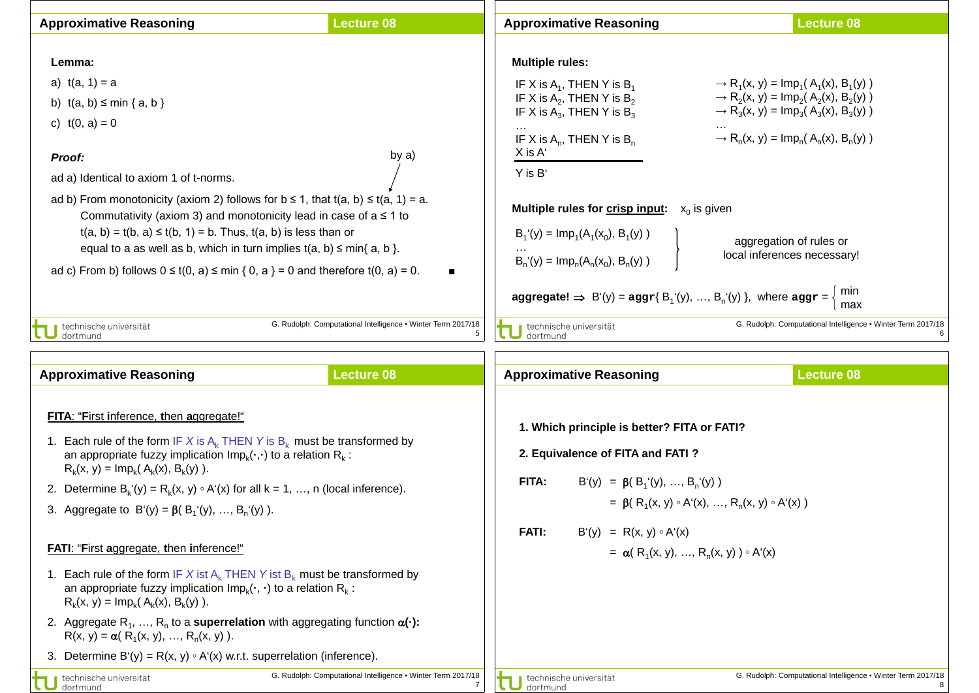| <b>Approximative Reasoning</b>                                                                                                                                                                                                                                                                                                                                                                                                                                                                                                                                                                                                                                                                                                                                                                                                            | <b>Lecture 08</b>                                                                      | <b>Approximative Reasoning</b>                                                                                                                                                                                                                                                                                                                                                                                       | <b>Lecture 08</b>                                                                                                                                                                                                                                                                                                                                                                                                         |
|-------------------------------------------------------------------------------------------------------------------------------------------------------------------------------------------------------------------------------------------------------------------------------------------------------------------------------------------------------------------------------------------------------------------------------------------------------------------------------------------------------------------------------------------------------------------------------------------------------------------------------------------------------------------------------------------------------------------------------------------------------------------------------------------------------------------------------------------|----------------------------------------------------------------------------------------|----------------------------------------------------------------------------------------------------------------------------------------------------------------------------------------------------------------------------------------------------------------------------------------------------------------------------------------------------------------------------------------------------------------------|---------------------------------------------------------------------------------------------------------------------------------------------------------------------------------------------------------------------------------------------------------------------------------------------------------------------------------------------------------------------------------------------------------------------------|
| Lemma:<br>a) $t(a, 1) = a$<br>b) $t(a, b) \leq min \{a, b\}$<br>c) $t(0, a) = 0$<br>Proof:<br>ad a) Identical to axiom 1 of t-norms.<br>ad b) From monotonicity (axiom 2) follows for $b \le 1$ , that $t(a, b) \le t(a, 1) = a$ .<br>Commutativity (axiom 3) and monotonicity lead in case of $a \le 1$ to<br>$t(a, b) = t(b, a) \le t(b, 1) = b$ . Thus, $t(a, b)$ is less than or<br>equal to a as well as b, which in turn implies $t(a, b) \leq min\{a, b\}$ .<br>ad c) From b) follows $0 \le t(0, a) \le \min\{0, a\} = 0$ and therefore $t(0, a) = 0$ .                                                                                                                                                                                                                                                                           | by a)                                                                                  | <b>Multiple rules:</b><br>IF X is $A_1$ , THEN Y is $B_1$<br>IF X is $A_2$ , THEN Y is $B_2$<br>IF X is $A_3$ , THEN Y is $B_3$<br>IF X is $A_n$ , THEN Y is $B_n$<br>X is A'<br>Y is B'<br><b>Multiple rules for crisp input:</b> $x_0$ is given<br>$B_1(y) = Imp_1(A_1(x_0), B_1(y))$<br>$B_n'(y) = Imp_n(A_n(x_0), B_n(y))$<br>aggregate! $\Rightarrow B'(y) = \text{aggr}\{B_1'(y), , B_n'(y)\}\$ , where aggr = | $\rightarrow$ R <sub>1</sub> (x, y) = lmp <sub>1</sub> (A <sub>1</sub> (x), B <sub>1</sub> (y))<br>$\rightarrow$ R <sub>2</sub> (x, y) = lmp <sub>2</sub> (A <sub>2</sub> (x), B <sub>2</sub> (y))<br>$\rightarrow$ R <sub>3</sub> (x, y) = lmp <sub>3</sub> (A <sub>3</sub> (x), B <sub>3</sub> (y))<br>$\rightarrow R_n(x, y) = Imp_n(A_n(x), B_n(y))$<br>aggregation of rules or<br>local inferences necessary!<br>min |
| technische universität<br>dortmund<br><b>Approximative Reasoning</b>                                                                                                                                                                                                                                                                                                                                                                                                                                                                                                                                                                                                                                                                                                                                                                      | G. Rudolph: Computational Intelligence • Winter Term 2017/18<br>5<br><b>Lecture 08</b> | technische universität<br>dortmund<br><b>Approximative Reasoning</b>                                                                                                                                                                                                                                                                                                                                                 | max<br>G. Rudolph: Computational Intelligence • Winter Term 2017/18<br><b>Lecture 08</b>                                                                                                                                                                                                                                                                                                                                  |
| FITA: "First inference, then aggregate!"<br>1. Each rule of the form IF X is $A_k$ THEN Y is $B_k$ must be transformed by<br>an appropriate fuzzy implication $Imp_k(\cdot, \cdot)$ to a relation $R_k$ :<br>$R_k(x, y) = Im p_k(A_k(x), B_k(y)).$<br>2. Determine $B_k(y) = R_k(x, y) \circ A'(x)$ for all $k = 1, , n$ (local inference).<br>3. Aggregate to $B'(y) = \beta(B_1'(y), , B_n'(y))$ .<br><b>FATI: "First aggregate, then inference!"</b><br>1. Each rule of the form IF X ist $A_k$ THEN Y ist $B_k$ must be transformed by<br>an appropriate fuzzy implication $Imp_k(\cdot, \cdot)$ to a relation $R_k$ :<br>$R_k(x, y) = Imp_k(A_k(x), B_k(y)).$<br>2. Aggregate R <sub>1</sub> , , R <sub>n</sub> to a <b>superrelation</b> with aggregating function $\alpha(\cdot)$ :<br>$R(x, y) = \alpha(R_1(x, y), , R_n(x, y)).$ |                                                                                        | 1. Which principle is better? FITA or FATI?<br>2. Equivalence of FITA and FATI?<br>FITA:<br>$B'(y) = \beta(B_1'(y), , B_n'(y))$<br>= $\beta$ ( R <sub>1</sub> (x, y) $\circ$ A <sup>1</sup> (x), , R <sub>n</sub> (x, y) $\circ$ A <sup>1</sup> (x))<br><b>FATI:</b><br>$B'(y) = R(x, y) \circ A'(x)$<br>= $\alpha$ ( R <sub>1</sub> (x, y), , R <sub>n</sub> (x, y) ) $\circ$ A <sup>t</sup> (x)                    |                                                                                                                                                                                                                                                                                                                                                                                                                           |
| 3. Determine B'(y) = $R(x, y) \circ A'(x)$ w.r.t. superrelation (inference).<br>technische universität<br>dortmund                                                                                                                                                                                                                                                                                                                                                                                                                                                                                                                                                                                                                                                                                                                        | G. Rudolph: Computational Intelligence . Winter Term 2017/18                           | technische universität<br>dortmund                                                                                                                                                                                                                                                                                                                                                                                   | G. Rudolph: Computational Intelligence • Winter Term 2017/18                                                                                                                                                                                                                                                                                                                                                              |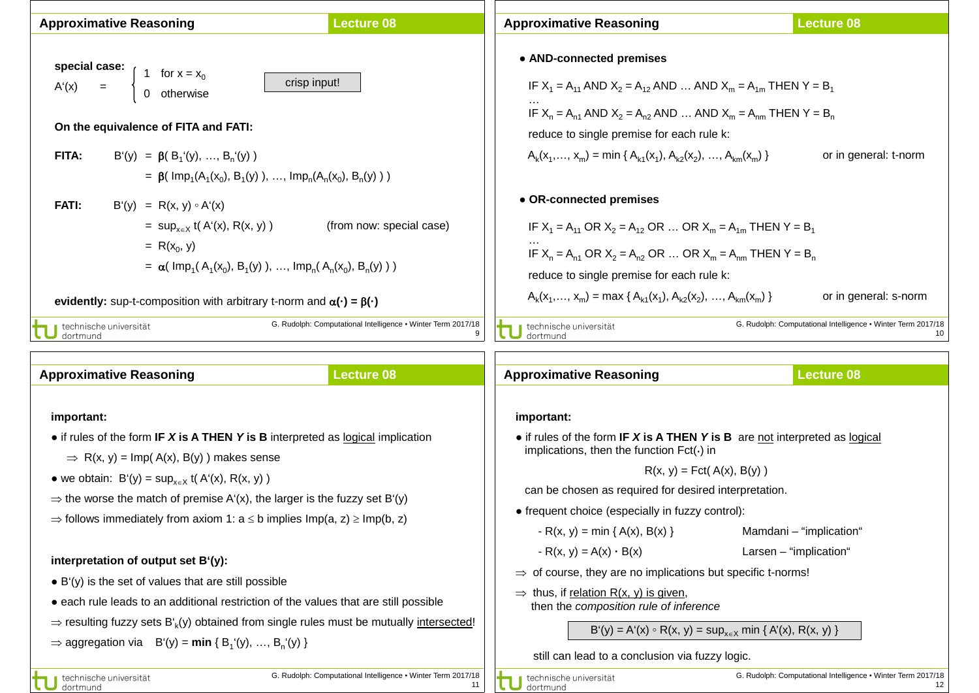| <b>Approximative Reasoning</b>                                                                                                                                                                                                                                                                                                                            | <b>Lecture 08</b>        | <b>Approximative Reasoning</b>                                                                                                                                                                                                                                                                                    | <b>Lecture 08</b>     |  |
|-----------------------------------------------------------------------------------------------------------------------------------------------------------------------------------------------------------------------------------------------------------------------------------------------------------------------------------------------------------|--------------------------|-------------------------------------------------------------------------------------------------------------------------------------------------------------------------------------------------------------------------------------------------------------------------------------------------------------------|-----------------------|--|
| special case:<br>1 for $x = x_0$<br>0 otherwise<br>crisp input!<br>$=$<br>A'(x)<br>On the equivalence of FITA and FATI:<br>FITA:<br>$B'(y) = \beta(B_1'(y), , B_n'(y))$                                                                                                                                                                                   |                          | • AND-connected premises<br>IF $X_1 = A_{11}$ AND $X_2 = A_{12}$ AND  AND $X_m = A_{1m}$ THEN Y = B <sub>1</sub><br>IF $X_n = A_{n1}$ AND $X_2 = A_{n2}$ AND  AND $X_m = A_{nm}$ THEN $Y = B_n$<br>reduce to single premise for each rule k:<br>$A_k(x_1,,x_m) = min \{A_{k1}(x_1), A_{k2}(x_2), , A_{km}(x_m)\}$ | or in general: t-norm |  |
| = $\beta$ ( Imp <sub>1</sub> (A <sub>1</sub> (x <sub>0</sub> ), B <sub>1</sub> (y)), , Imp <sub>n</sub> (A <sub>n</sub> (x <sub>0</sub> ), B <sub>n</sub> (y)))<br><b>FATI:</b><br>$B'(y) = R(x, y) \circ A'(x)$<br>= $\sup_{x \in X} f(A'(x), R(x, y))$<br>$= R(x_0, y)$<br>$= \alpha(\text{Imp}_1(A_1(x_0), B_1(y)), , \text{Imp}_n(A_n(x_0), B_n(y)))$ | (from now: special case) | • OR-connected premises<br>IF $X_1 = A_{11}$ OR $X_2 = A_{12}$ OR  OR $X_m = A_{1m}$ THEN Y = B <sub>1</sub><br>IF $X_n = A_{n1}$ OR $X_2 = A_{n2}$ OR  OR $X_m = A_{nm}$ THEN $Y = B_n$<br>reduce to single premise for each rule k:<br>$A_k(x_1,,x_m) = max \{ A_{k1}(x_1), A_{k2}(x_2), , A_{km}(x_m) \}$      | or in general: s-norm |  |
| evidently: sup-t-composition with arbitrary t-norm and $\alpha(\cdot) = \beta(\cdot)$<br>G. Rudolph: Computational Intelligence . Winter Term 2017/18<br>technische universität<br>dortmund                                                                                                                                                               |                          | G. Rudolph: Computational Intelligence • Winter Term 2017/18<br>technische universität<br>10<br>dortmund                                                                                                                                                                                                          |                       |  |
| <b>Approximative Reasoning</b>                                                                                                                                                                                                                                                                                                                            | <b>Lecture 08</b>        | <b>Approximative Reasoning</b>                                                                                                                                                                                                                                                                                    | <b>Lecture 08</b>     |  |

- **important:** ● if rules of the form **IF** *X* **is A THEN** *Y* **is B** interpreted as logical implication
- $\Rightarrow$  R(x, y) = Imp(A(x), B(y)) makes sense
- we obtain:  $B'(y) = \sup_{x \in X} f(A'(x), R(x, y))$
- $\Rightarrow$  the worse the match of premise A'(x), the larger is the fuzzy set B'(y)
- $\Rightarrow$  follows immediately from axiom 1: a  $\leq$  b implies Imp(a, z)  $\geq$  Imp(b, z)

## **interpretation of output set B'(y):**

- $\bullet$  B'(y) is the set of values that are still possible
- each rule leads to an additional restriction of the values that are still possible
- $\Rightarrow$  resulting fuzzy sets B'<sub>k</sub>(y) obtained from single rules must be mutually intersected!
- $\Rightarrow$  aggregation via  $B'(y) = min \{ B_1'(y), ..., B_n'(y) \}$

 can be chosen as required for desired interpretation. ● frequent choice (especially in fuzzy control):

● if rules of the form **IF** *X* **is A THEN** *Y* **is B** are not interpreted as logical

 $R(x, y) = Fct(A(x), B(y))$ 

 $-R(x, y) = min \{ A(x), B(x) \}$  Mamdani – "implication"

implications, then the function  $Fct(\cdot)$  in

- $-R(x, y) = A(x) \cdot B(x)$  Larsen "implication"
- 
- $\Rightarrow$  of course, they are no implications but specific t-norms!
- $\Rightarrow$  thus, if relation R(x, y) is given, then the *composition rule of inference*

B'(y) = A'(x) ∘ R(x, y) = sup<sub>x∈X</sub> min { A'(x), R(x, y) }

still can lead to a conclusion via fuzzy logic.

technische universität dortmund

**important:**

11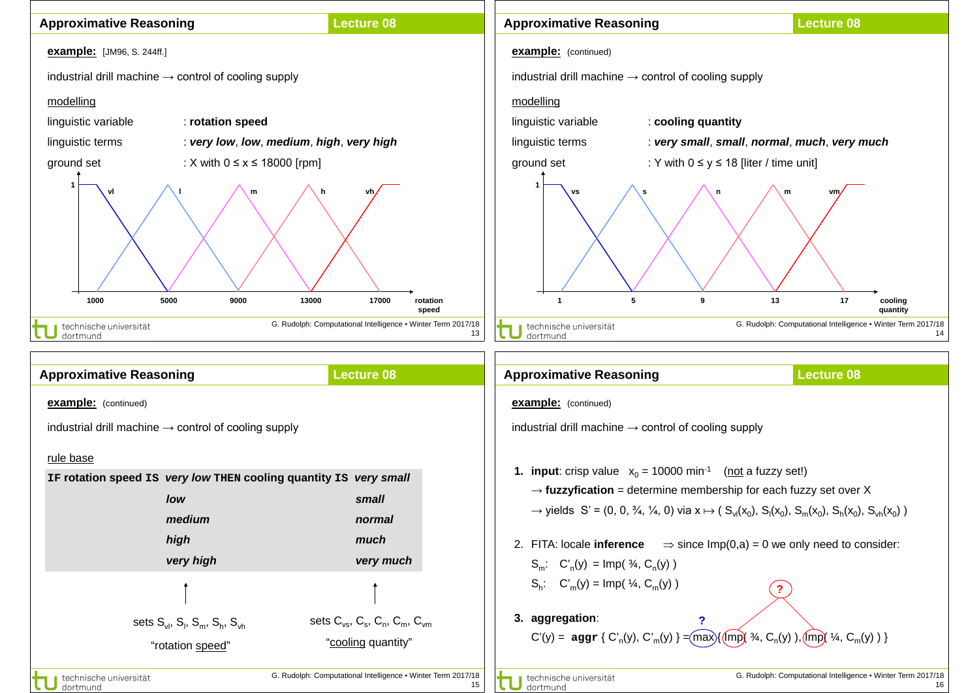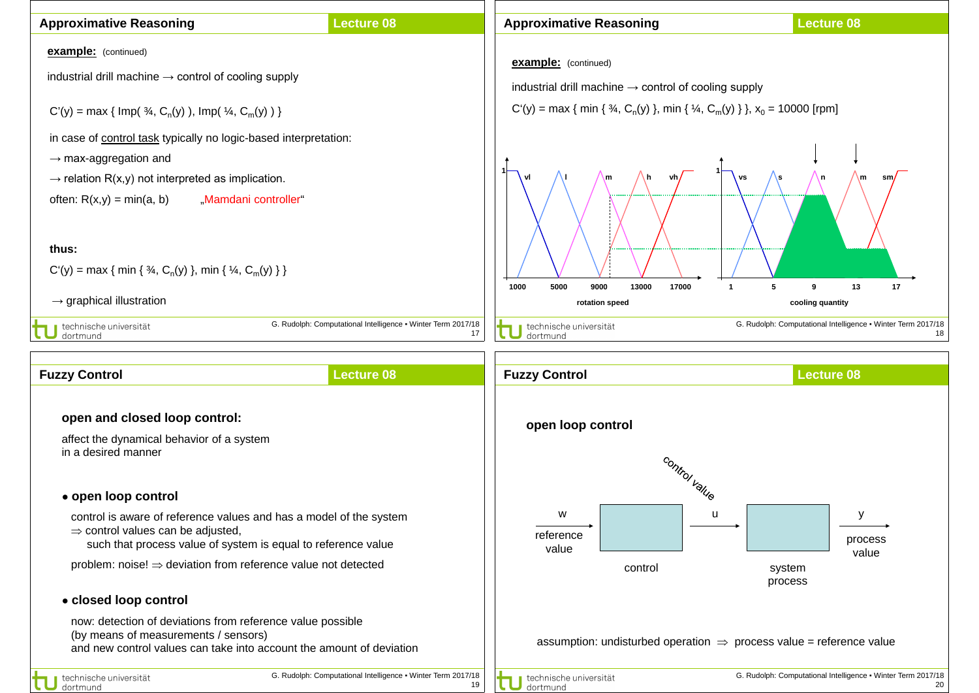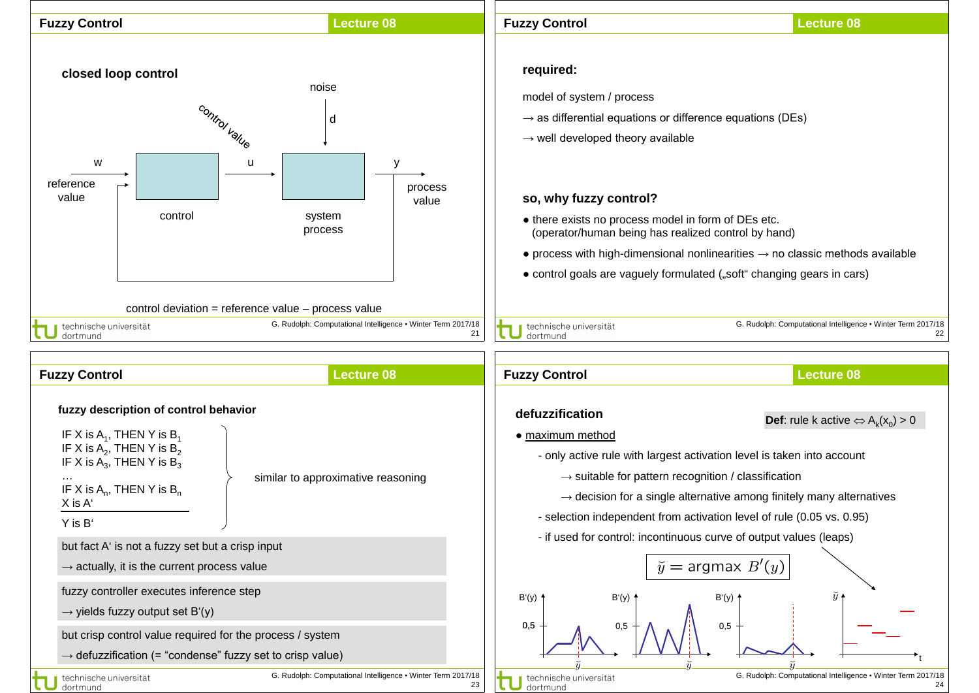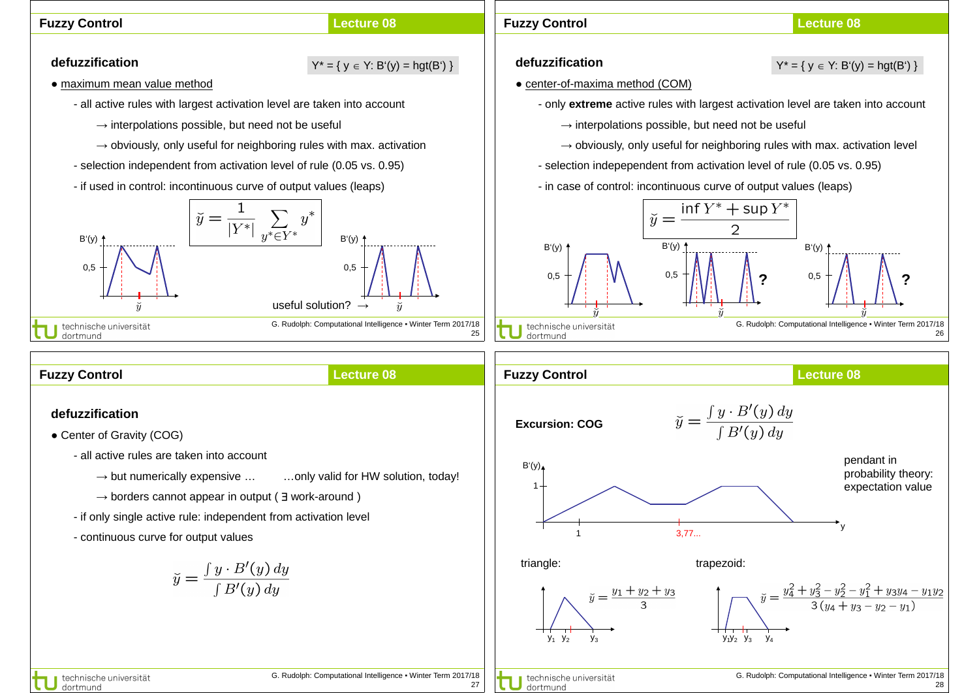